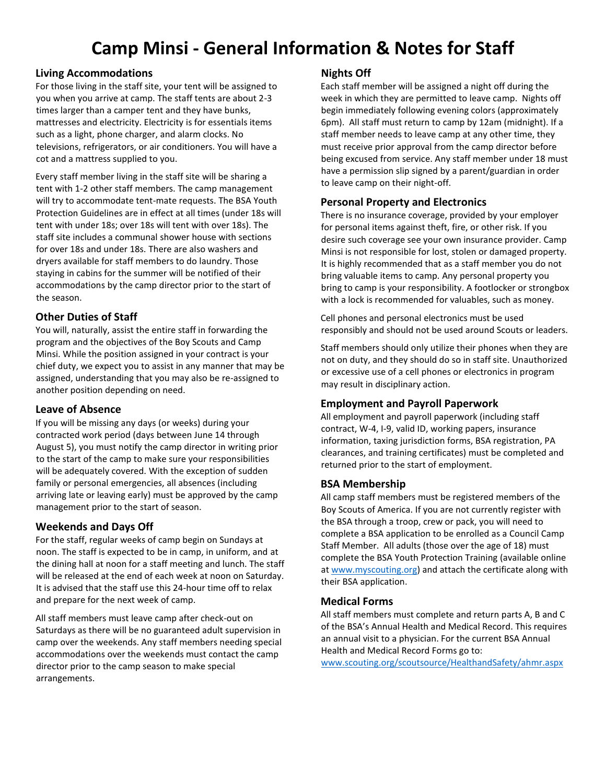# **Camp Minsi - General Information & Notes for Staff**

## **Living Accommodations**

For those living in the staff site, your tent will be assigned to you when you arrive at camp. The staff tents are about 2-3 times larger than a camper tent and they have bunks, mattresses and electricity. Electricity is for essentials items such as a light, phone charger, and alarm clocks. No televisions, refrigerators, or air conditioners. You will have a cot and a mattress supplied to you.

Every staff member living in the staff site will be sharing a tent with 1-2 other staff members. The camp management will try to accommodate tent-mate requests. The BSA Youth Protection Guidelines are in effect at all times (under 18s will tent with under 18s; over 18s will tent with over 18s). The staff site includes a communal shower house with sections for over 18s and under 18s. There are also washers and dryers available for staff members to do laundry. Those staying in cabins for the summer will be notified of their accommodations by the camp director prior to the start of the season.

## **Other Duties of Staff**

You will, naturally, assist the entire staff in forwarding the program and the objectives of the Boy Scouts and Camp Minsi. While the position assigned in your contract is your chief duty, we expect you to assist in any manner that may be assigned, understanding that you may also be re-assigned to another position depending on need.

#### **Leave of Absence**

If you will be missing any days (or weeks) during your contracted work period (days between June 14 through August 5), you must notify the camp director in writing prior to the start of the camp to make sure your responsibilities will be adequately covered. With the exception of sudden family or personal emergencies, all absences (including arriving late or leaving early) must be approved by the camp management prior to the start of season.

#### **Weekends and Days Off**

For the staff, regular weeks of camp begin on Sundays at noon. The staff is expected to be in camp, in uniform, and at the dining hall at noon for a staff meeting and lunch. The staff will be released at the end of each week at noon on Saturday. It is advised that the staff use this 24-hour time off to relax and prepare for the next week of camp.

All staff members must leave camp after check-out on Saturdays as there will be no guaranteed adult supervision in camp over the weekends. Any staff members needing special accommodations over the weekends must contact the camp director prior to the camp season to make special arrangements.

## **Nights Off**

Each staff member will be assigned a night off during the week in which they are permitted to leave camp. Nights off begin immediately following evening colors (approximately 6pm). All staff must return to camp by 12am (midnight). If a staff member needs to leave camp at any other time, they must receive prior approval from the camp director before being excused from service. Any staff member under 18 must have a permission slip signed by a parent/guardian in order to leave camp on their night-off.

## **Personal Property and Electronics**

There is no insurance coverage, provided by your employer for personal items against theft, fire, or other risk. If you desire such coverage see your own insurance provider. Camp Minsi is not responsible for lost, stolen or damaged property. It is highly recommended that as a staff member you do not bring valuable items to camp. Any personal property you bring to camp is your responsibility. A footlocker or strongbox with a lock is recommended for valuables, such as money.

Cell phones and personal electronics must be used responsibly and should not be used around Scouts or leaders.

Staff members should only utilize their phones when they are not on duty, and they should do so in staff site. Unauthorized or excessive use of a cell phones or electronics in program may result in disciplinary action.

#### **Employment and Payroll Paperwork**

All employment and payroll paperwork (including staff contract, W-4, I-9, valid ID, working papers, insurance information, taxing jurisdiction forms, BSA registration, PA clearances, and training certificates) must be completed and returned prior to the start of employment.

#### **BSA Membership**

All camp staff members must be registered members of the Boy Scouts of America. If you are not currently register with the BSA through a troop, crew or pack, you will need to complete a BSA application to be enrolled as a Council Camp Staff Member. All adults (those over the age of 18) must complete the BSA Youth Protection Training (available online at [www.myscouting.org\)](http://www.myscouting.org/) and attach the certificate along with their BSA application.

#### **Medical Forms**

All staff members must complete and return parts A, B and C of the BSA's Annual Health and Medical Record. This requires an annual visit to a physician. For the current BSA Annual Health and Medical Record Forms go to:

[www.scouting.org/scoutsource/HealthandSafety/ahmr.aspx](http://www.scouting.org/scoutsource/HealthandSafety/ahmr.aspx)